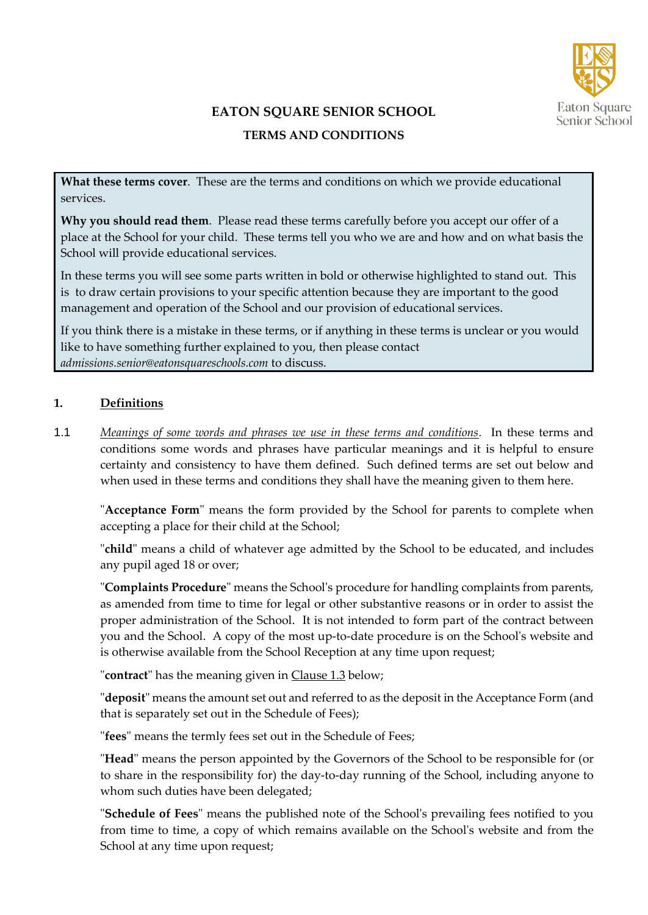

# **EATON SQUARE SENIOR SCHOOL**

## **TERMS AND CONDITIONS**

**What these terms cover**. These are the terms and conditions on which we provide educational services.

**Why you should read them**. Please read these terms carefully before you accept our offer of a place at the School for your child. These terms tell you who we are and how and on what basis the School will provide educational services.

In these terms you will see some parts written in bold or otherwise highlighted to stand out. This is to draw certain provisions to your specific attention because they are important to the good management and operation of the School and our provision of educational services.

If you think there is a mistake in these terms, or if anything in these terms is unclear or you would like to have something further explained to you, then please contact *admissions.senior@eatonsquareschools.com* to discuss.

## **1. Definitions**

1.1 *Meanings of some words and phrases we use in these terms and conditions.* In these terms and conditions some words and phrases have particular meanings and it is helpful to ensure certainty and consistency to have them defined. Such defined terms are set out below and when used in these terms and conditions they shall have the meaning given to them here.

"**Acceptance Form**" means the form provided by the School for parents to complete when accepting a place for their child at the School;

"**child**" means a child of whatever age admitted by the School to be educated, and includes any pupil aged 18 or over;

"**Complaints Procedure**" means the School's procedure for handling complaints from parents, as amended from time to time for legal or other substantive reasons or in order to assist the proper administration of the School. It is not intended to form part of the contract between you and the School. A copy of the most up-to-date procedure is on the School's website and is otherwise available from the School Reception at any time upon request;

"**contract**" has the meaning given in Clause 1.3 below;

"**deposit**" means the amount set out and referred to as the deposit in the Acceptance Form (and that is separately set out in the Schedule of Fees);

"**fees**" means the termly fees set out in the Schedule of Fees;

"**Head**" means the person appointed by the Governors of the School to be responsible for (or to share in the responsibility for) the day-to-day running of the School, including anyone to whom such duties have been delegated;

"**Schedule of Fees**" means the published note of the School's prevailing fees notified to you from time to time, a copy of which remains available on the School's website and from the School at any time upon request;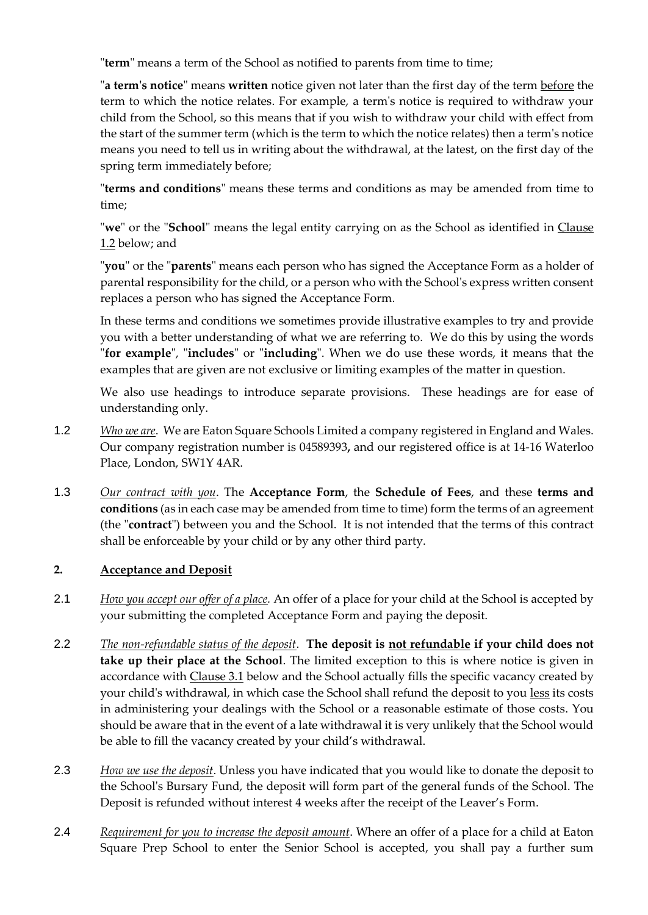"**term**" means a term of the School as notified to parents from time to time;

"**a term's notice**" means **written** notice given not later than the first day of the term before the term to which the notice relates. For example, a term's notice is required to withdraw your child from the School, so this means that if you wish to withdraw your child with effect from the start of the summer term (which is the term to which the notice relates) then a term's notice means you need to tell us in writing about the withdrawal, at the latest, on the first day of the spring term immediately before;

"**terms and conditions**" means these terms and conditions as may be amended from time to time;

"**we**" or the "**School**" means the legal entity carrying on as the School as identified in Clause 1.2 below; and

"**you**" or the "**parents**" means each person who has signed the Acceptance Form as a holder of parental responsibility for the child, or a person who with the School's express written consent replaces a person who has signed the Acceptance Form.

In these terms and conditions we sometimes provide illustrative examples to try and provide you with a better understanding of what we are referring to. We do this by using the words "**for example**", "**includes**" or "**including**". When we do use these words, it means that the examples that are given are not exclusive or limiting examples of the matter in question.

We also use headings to introduce separate provisions. These headings are for ease of understanding only.

- 1.2 *Who we are*. We are Eaton Square Schools Limited a company registered in England and Wales. Our company registration number is 04589393**,** and our registered office is at 14-16 Waterloo Place, London, SW1Y 4AR.
- 1.3 *Our contract with you*. The **Acceptance Form**, the **Schedule of Fees**, and these **terms and**  conditions (as in each case may be amended from time to time) form the terms of an agreement (the "**contract**") between you and the School. It is not intended that the terms of this contract shall be enforceable by your child or by any other third party.

### **2. Acceptance and Deposit**

- 2.1 *How you accept our offer of a place.* An offer of a place for your child at the School is accepted by your submitting the completed Acceptance Form and paying the deposit.
- 2.2 *The non-refundable status of the deposit*. **The deposit is not refundable if your child does not take up their place at the School**. The limited exception to this is where notice is given in accordance with Clause 3.1 below and the School actually fills the specific vacancy created by your child's withdrawal, in which case the School shall refund the deposit to you less its costs in administering your dealings with the School or a reasonable estimate of those costs. You should be aware that in the event of a late withdrawal it is very unlikely that the School would be able to fill the vacancy created by your child's withdrawal.
- 2.3 *How we use the deposit*. Unless you have indicated that you would like to donate the deposit to the School's Bursary Fund, the deposit will form part of the general funds of the School. The Deposit is refunded without interest 4 weeks after the receipt of the Leaver's Form.
- 2.4 *Requirement for you to increase the deposit amount*. Where an offer of a place for a child at Eaton Square Prep School to enter the Senior School is accepted, you shall pay a further sum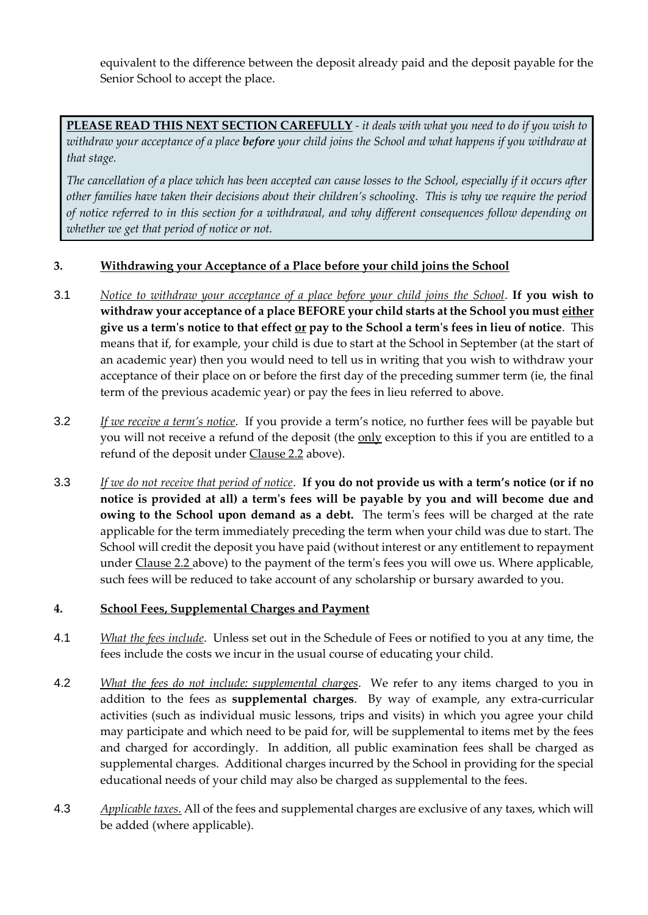equivalent to the difference between the deposit already paid and the deposit payable for the Senior School to accept the place.

**PLEASE READ THIS NEXT SECTION CAREFULLY** *- it deals with what you need to do if you wish to withdraw your acceptance of a place before your child joins the School and what happens if you withdraw at that stage.*

*The cancellation of a place which has been accepted can cause losses to the School, especially if it occurs after other families have taken their decisions about their children's schooling. This is why we require the period of notice referred to in this section for a withdrawal, and why different consequences follow depending on whether we get that period of notice or not.*

### **3. Withdrawing your Acceptance of a Place before your child joins the School**

- 3.1 *Notice to withdraw your acceptance of a place before your child joins the School*. **If you wish to withdraw your acceptance of a place BEFORE your child starts at the School you must either give us a term's notice to that effect or pay to the School a term's fees in lieu of notice**. This means that if, for example, your child is due to start at the School in September (at the start of an academic year) then you would need to tell us in writing that you wish to withdraw your acceptance of their place on or before the first day of the preceding summer term (ie, the final term of the previous academic year) or pay the fees in lieu referred to above.
- 3.2 *If we receive a term's notice*. If you provide a term's notice, no further fees will be payable but you will not receive a refund of the deposit (the only exception to this if you are entitled to a refund of the deposit under Clause 2.2 above).
- 3.3 *If we do not receive that period of notice*. **If you do not provide us with a term's notice (or if no notice is provided at all) a term's fees will be payable by you and will become due and owing to the School upon demand as a debt.** The term's fees will be charged at the rate applicable for the term immediately preceding the term when your child was due to start. The School will credit the deposit you have paid (without interest or any entitlement to repayment under Clause 2.2 above) to the payment of the term's fees you will owe us. Where applicable, such fees will be reduced to take account of any scholarship or bursary awarded to you.

## **4. School Fees, Supplemental Charges and Payment**

- 4.1 *What the fees include*. Unless set out in the Schedule of Fees or notified to you at any time, the fees include the costs we incur in the usual course of educating your child.
- 4.2 *What the fees do not include: supplemental charges*. We refer to any items charged to you in addition to the fees as **supplemental charges**. By way of example, any extra-curricular activities (such as individual music lessons, trips and visits) in which you agree your child may participate and which need to be paid for, will be supplemental to items met by the fees and charged for accordingly. In addition, all public examination fees shall be charged as supplemental charges. Additional charges incurred by the School in providing for the special educational needs of your child may also be charged as supplemental to the fees.
- 4.3 *Applicable taxes.* All of the fees and supplemental charges are exclusive of any taxes, which will be added (where applicable).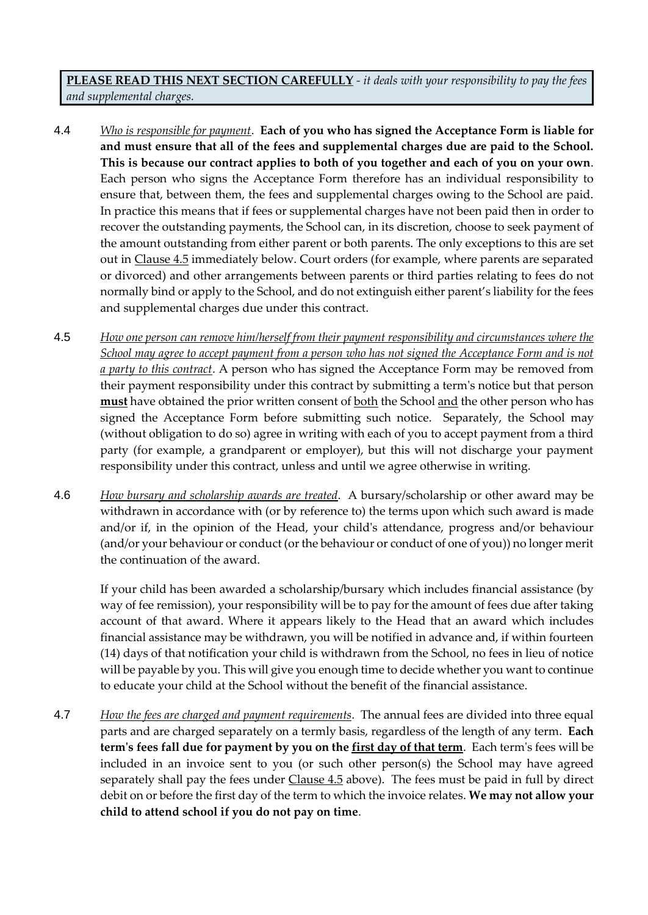**PLEASE READ THIS NEXT SECTION CAREFULLY** *- it deals with your responsibility to pay the fees and supplemental charges.*

- 4.4 *Who is responsible for payment*. **Each of you who has signed the Acceptance Form is liable for and must ensure that all of the fees and supplemental charges due are paid to the School. This is because our contract applies to both of you together and each of you on your own**. Each person who signs the Acceptance Form therefore has an individual responsibility to ensure that, between them, the fees and supplemental charges owing to the School are paid. In practice this means that if fees or supplemental charges have not been paid then in order to recover the outstanding payments, the School can, in its discretion, choose to seek payment of the amount outstanding from either parent or both parents. The only exceptions to this are set out in Clause 4.5 immediately below. Court orders (for example, where parents are separated or divorced) and other arrangements between parents or third parties relating to fees do not normally bind or apply to the School, and do not extinguish either parent's liability for the fees and supplemental charges due under this contract.
- 4.5 *How one person can remove him/herself from their payment responsibility and circumstances where the School may agree to accept payment from a person who has not signed the Acceptance Form and is not a party to this contract*. A person who has signed the Acceptance Form may be removed from their payment responsibility under this contract by submitting a term's notice but that person must have obtained the prior written consent of both the School and the other person who has signed the Acceptance Form before submitting such notice. Separately, the School may (without obligation to do so) agree in writing with each of you to accept payment from a third party (for example, a grandparent or employer), but this will not discharge your payment responsibility under this contract, unless and until we agree otherwise in writing.
- 4.6 *How bursary and scholarship awards are treated*. A bursary/scholarship or other award may be withdrawn in accordance with (or by reference to) the terms upon which such award is made and/or if, in the opinion of the Head, your child's attendance, progress and/or behaviour (and/or your behaviour or conduct (or the behaviour or conduct of one of you)) no longer merit the continuation of the award.

If your child has been awarded a scholarship/bursary which includes financial assistance (by way of fee remission), your responsibility will be to pay for the amount of fees due after taking account of that award. Where it appears likely to the Head that an award which includes financial assistance may be withdrawn, you will be notified in advance and, if within fourteen (14) days of that notification your child is withdrawn from the School, no fees in lieu of notice will be payable by you. This will give you enough time to decide whether you want to continue to educate your child at the School without the benefit of the financial assistance.

4.7 *How the fees are charged and payment requirements*. The annual fees are divided into three equal parts and are charged separately on a termly basis, regardless of the length of any term. **Each term's fees fall due for payment by you on the first day of that term**. Each term's fees will be included in an invoice sent to you (or such other person(s) the School may have agreed separately shall pay the fees under Clause 4.5 above). The fees must be paid in full by direct debit on or before the first day of the term to which the invoice relates. **We may not allow your child to attend school if you do not pay on time**.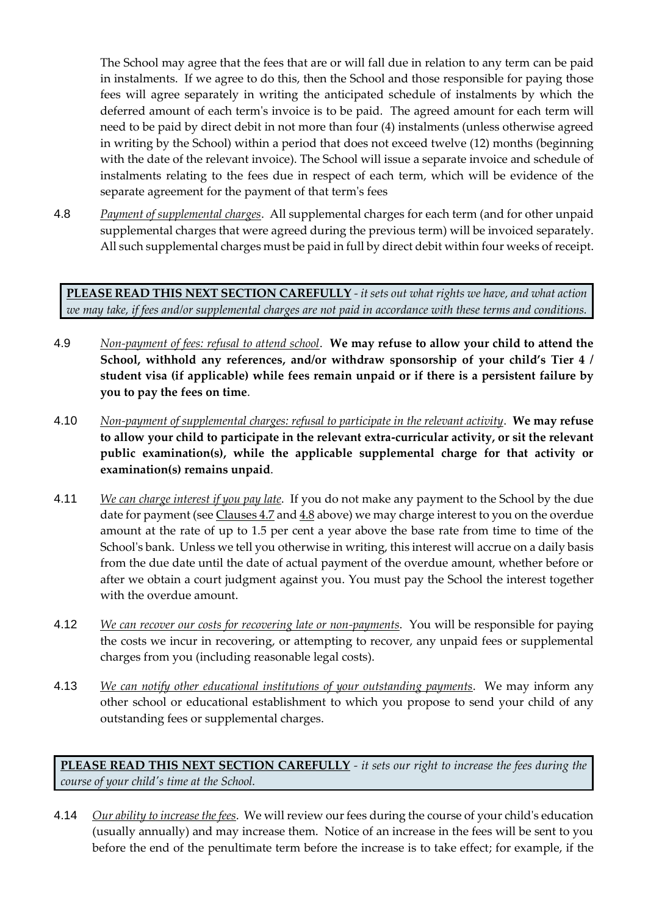The School may agree that the fees that are or will fall due in relation to any term can be paid in instalments. If we agree to do this, then the School and those responsible for paying those fees will agree separately in writing the anticipated schedule of instalments by which the deferred amount of each term's invoice is to be paid. The agreed amount for each term will need to be paid by direct debit in not more than four (4) instalments (unless otherwise agreed in writing by the School) within a period that does not exceed twelve (12) months (beginning with the date of the relevant invoice). The School will issue a separate invoice and schedule of instalments relating to the fees due in respect of each term, which will be evidence of the separate agreement for the payment of that term's fees

4.8 *Payment of supplemental charges*. All supplemental charges for each term (and for other unpaid supplemental charges that were agreed during the previous term) will be invoiced separately. All such supplemental charges must be paid in full by direct debit within four weeks of receipt.

**PLEASE READ THIS NEXT SECTION CAREFULLY** *- it sets out what rights we have, and what action we may take, if fees and/or supplemental charges are not paid in accordance with these terms and conditions.*

- 4.9 *Non-payment of fees: refusal to attend school*. **We may refuse to allow your child to attend the School, withhold any references, and/or withdraw sponsorship of your child's Tier 4 / student visa (if applicable) while fees remain unpaid or if there is a persistent failure by you to pay the fees on time**.
- 4.10 *Non-payment of supplemental charges: refusal to participate in the relevant activity*. **We may refuse to allow your child to participate in the relevant extra-curricular activity, or sit the relevant public examination(s), while the applicable supplemental charge for that activity or examination(s) remains unpaid**.
- 4.11 *We can charge interest if you pay late*. If you do not make any payment to the School by the due date for payment (see Clauses 4.7 and 4.8 above) we may charge interest to you on the overdue amount at the rate of up to 1.5 per cent a year above the base rate from time to time of the School's bank. Unless we tell you otherwise in writing, this interest will accrue on a daily basis from the due date until the date of actual payment of the overdue amount, whether before or after we obtain a court judgment against you. You must pay the School the interest together with the overdue amount.
- 4.12 *We can recover our costs for recovering late or non-payments*. You will be responsible for paying the costs we incur in recovering, or attempting to recover, any unpaid fees or supplemental charges from you (including reasonable legal costs).
- 4.13 *We can notify other educational institutions of your outstanding payments*. We may inform any other school or educational establishment to which you propose to send your child of any outstanding fees or supplemental charges.

**PLEASE READ THIS NEXT SECTION CAREFULLY** *- it sets our right to increase the fees during the course of your child's time at the School.*

4.14 *Our ability to increase the fees*. We will review our fees during the course of your child's education (usually annually) and may increase them. Notice of an increase in the fees will be sent to you before the end of the penultimate term before the increase is to take effect; for example, if the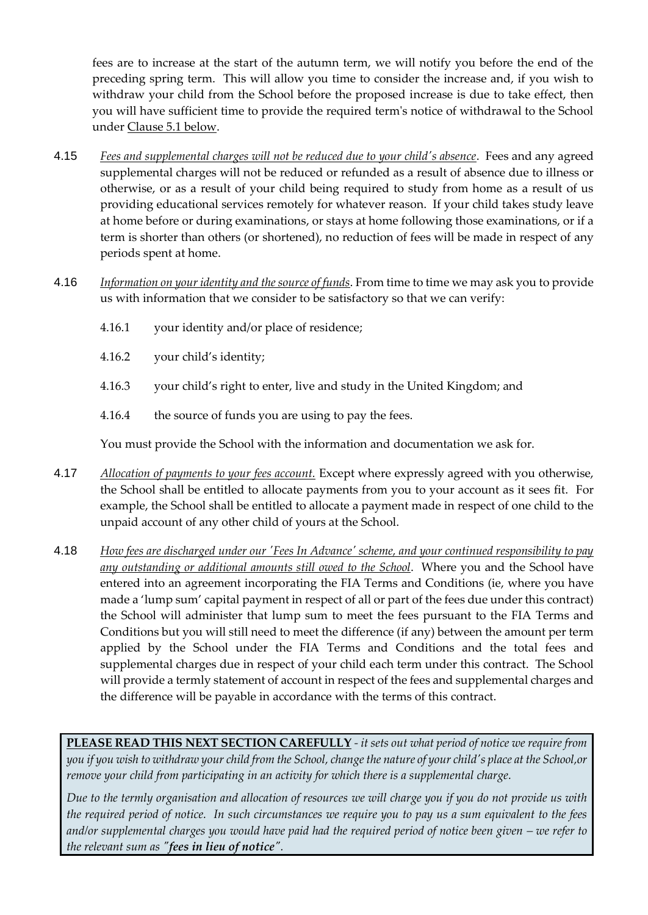fees are to increase at the start of the autumn term, we will notify you before the end of the preceding spring term. This will allow you time to consider the increase and, if you wish to withdraw your child from the School before the proposed increase is due to take effect, then you will have sufficient time to provide the required term's notice of withdrawal to the School under Clause 5.1 below.

- 4.15 *Fees and supplemental charges will not be reduced due to your child's absence*. Fees and any agreed supplemental charges will not be reduced or refunded as a result of absence due to illness or otherwise, or as a result of your child being required to study from home as a result of us providing educational services remotely for whatever reason. If your child takes study leave at home before or during examinations, or stays at home following those examinations, or if a term is shorter than others (or shortened), no reduction of fees will be made in respect of any periods spent at home.
- 4.16 *Information on your identity and the source of funds*. From time to time we may ask you to provide us with information that we consider to be satisfactory so that we can verify:
	- 4.16.1 your identity and/or place of residence;
	- 4.16.2 your child's identity;
	- 4.16.3 your child's right to enter, live and study in the United Kingdom; and
	- 4.16.4 the source of funds you are using to pay the fees.

You must provide the School with the information and documentation we ask for.

- 4.17 *Allocation of payments to your fees account.* Except where expressly agreed with you otherwise, the School shall be entitled to allocate payments from you to your account as it sees fit. For example, the School shall be entitled to allocate a payment made in respect of one child to the unpaid account of any other child of yours at the School.
- 4.18 *How fees are discharged under our 'Fees In Advance' scheme, and your continued responsibility to pay any outstanding or additional amounts still owed to the School*. Where you and the School have entered into an agreement incorporating the FIA Terms and Conditions (ie, where you have made a 'lump sum' capital payment in respect of all or part of the fees due under this contract) the School will administer that lump sum to meet the fees pursuant to the FIA Terms and Conditions but you will still need to meet the difference (if any) between the amount per term applied by the School under the FIA Terms and Conditions and the total fees and supplemental charges due in respect of your child each term under this contract. The School will provide a termly statement of account in respect of the fees and supplemental charges and the difference will be payable in accordance with the terms of this contract.

**PLEASE READ THIS NEXT SECTION CAREFULLY** *- it sets out what period of notice we require from you if you wish to withdraw your child from the School, change the nature of your child's place at the School,or remove your child from participating in an activity for which there is a supplemental charge.*

*Due to the termly organisation and allocation of resources we will charge you if you do not provide us with the required period of notice. In such circumstances we require you to pay us a sum equivalent to the fees*  and/or supplemental charges you would have paid had the required period of notice been given – we refer to *the relevant sum as "fees in lieu of notice".*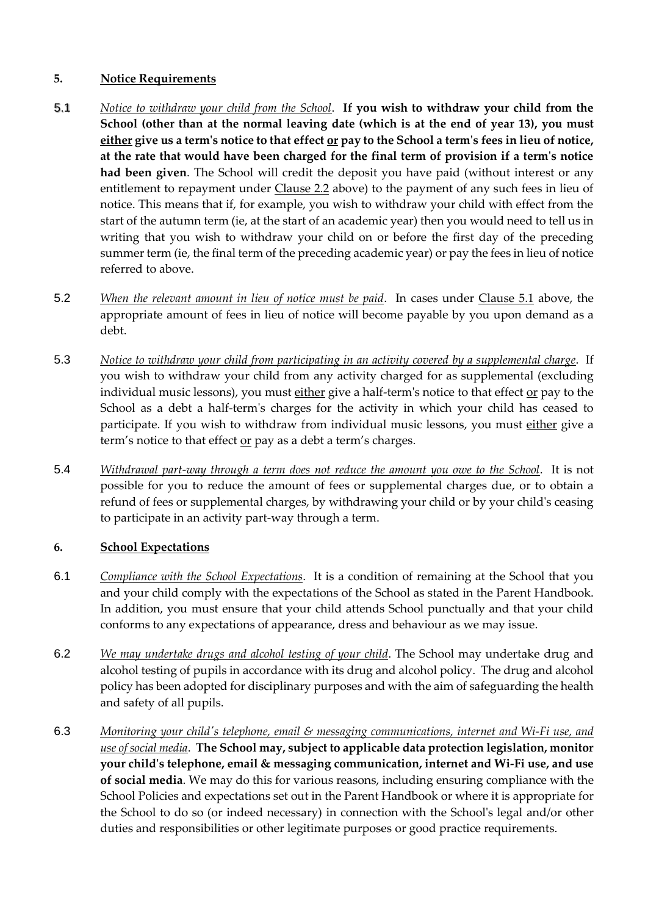## **5. Notice Requirements**

- 5.1 *Notice to withdraw your child from the School*. **If you wish to withdraw your child from the School (other than at the normal leaving date (which is at the end of year 13), you must either give us a term's notice to that effect or pay to the School a term's fees in lieu of notice, at the rate that would have been charged for the final term of provision if a term's notice had been given**. The School will credit the deposit you have paid (without interest or any entitlement to repayment under Clause 2.2 above) to the payment of any such fees in lieu of notice. This means that if, for example, you wish to withdraw your child with effect from the start of the autumn term (ie, at the start of an academic year) then you would need to tell us in writing that you wish to withdraw your child on or before the first day of the preceding summer term (ie, the final term of the preceding academic year) or pay the fees in lieu of notice referred to above.
- 5.2 *When the relevant amount in lieu of notice must be paid*. In cases under Clause 5.1 above, the appropriate amount of fees in lieu of notice will become payable by you upon demand as a debt.
- 5.3 *Notice to withdraw your child from participating in an activity covered by a supplemental charge*. If you wish to withdraw your child from any activity charged for as supplemental (excluding individual music lessons), you must either give a half-term's notice to that effect or pay to the School as a debt a half-term's charges for the activity in which your child has ceased to participate. If you wish to withdraw from individual music lessons, you must either give a term's notice to that effect or pay as a debt a term's charges.
- 5.4 *Withdrawal part-way through a term does not reduce the amount you owe to the School*. It is not possible for you to reduce the amount of fees or supplemental charges due, or to obtain a refund of fees or supplemental charges, by withdrawing your child or by your child's ceasing to participate in an activity part-way through a term.

## **6. School Expectations**

- 6.1 *Compliance with the School Expectations*. It is a condition of remaining at the School that you and your child comply with the expectations of the School as stated in the Parent Handbook. In addition, you must ensure that your child attends School punctually and that your child conforms to any expectations of appearance, dress and behaviour as we may issue.
- 6.2 *We may undertake drugs and alcohol testing of your child*. The School may undertake drug and alcohol testing of pupils in accordance with its drug and alcohol policy. The drug and alcohol policy has been adopted for disciplinary purposes and with the aim of safeguarding the health and safety of all pupils.
- 6.3 *Monitoring your child's telephone, email & messaging communications, internet and Wi-Fi use, and use of social media*. **The School may, subject to applicable data protection legislation, monitor your child's telephone, email & messaging communication, internet and Wi-Fi use, and use of social media**. We may do this for various reasons, including ensuring compliance with the School Policies and expectations set out in the Parent Handbook or where it is appropriate for the School to do so (or indeed necessary) in connection with the School's legal and/or other duties and responsibilities or other legitimate purposes or good practice requirements.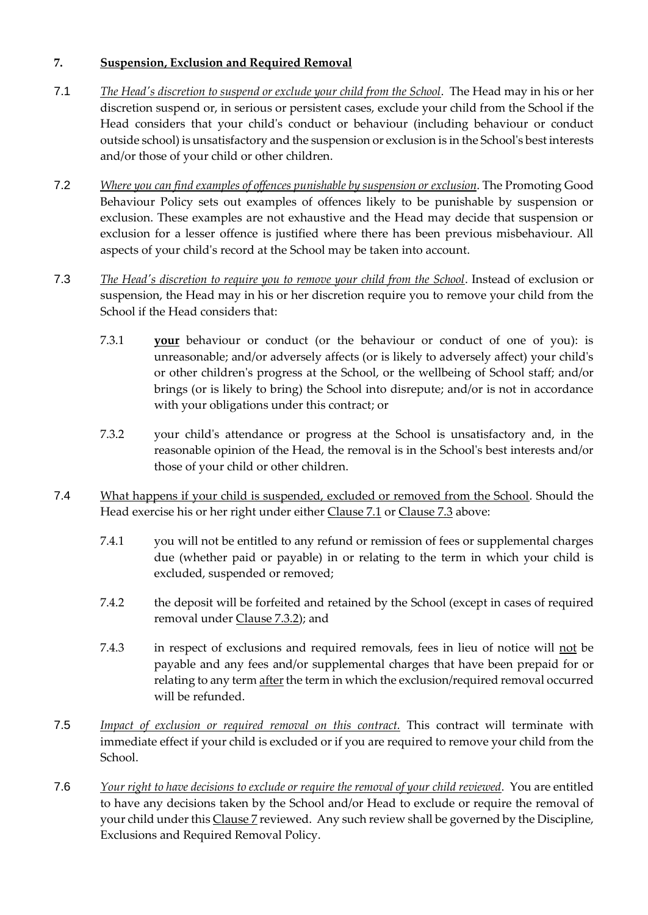## **7. Suspension, Exclusion and Required Removal**

- 7.1 *The Head's discretion to suspend or exclude your child from the School*. The Head may in his or her discretion suspend or, in serious or persistent cases, exclude your child from the School if the Head considers that your child's conduct or behaviour (including behaviour or conduct outside school) is unsatisfactory and the suspension or exclusion is in the School's best interests and/or those of your child or other children.
- 7.2 *Where you can find examples of offences punishable by suspension or exclusion*. The Promoting Good Behaviour Policy sets out examples of offences likely to be punishable by suspension or exclusion. These examples are not exhaustive and the Head may decide that suspension or exclusion for a lesser offence is justified where there has been previous misbehaviour. All aspects of your child's record at the School may be taken into account.
- 7.3 *The Head's discretion to require you to remove your child from the School*. Instead of exclusion or suspension, the Head may in his or her discretion require you to remove your child from the School if the Head considers that:
	- 7.3.1 **your** behaviour or conduct (or the behaviour or conduct of one of you): is unreasonable; and/or adversely affects (or is likely to adversely affect) your child's or other children's progress at the School, or the wellbeing of School staff; and/or brings (or is likely to bring) the School into disrepute; and/or is not in accordance with your obligations under this contract; or
	- 7.3.2 your child's attendance or progress at the School is unsatisfactory and, in the reasonable opinion of the Head, the removal is in the School's best interests and/or those of your child or other children.
- 7.4 What happens if your child is suspended, excluded or removed from the School. Should the Head exercise his or her right under either Clause 7.1 or Clause 7.3 above:
	- 7.4.1 you will not be entitled to any refund or remission of fees or supplemental charges due (whether paid or payable) in or relating to the term in which your child is excluded, suspended or removed;
	- 7.4.2 the deposit will be forfeited and retained by the School (except in cases of required removal under Clause 7.3.2); and
	- 7.4.3 in respect of exclusions and required removals, fees in lieu of notice will not be payable and any fees and/or supplemental charges that have been prepaid for or relating to any term after the term in which the exclusion/required removal occurred will be refunded.
- 7.5 *Impact of exclusion or required removal on this contract.* This contract will terminate with immediate effect if your child is excluded or if you are required to remove your child from the School.
- 7.6 *Your right to have decisions to exclude or require the removal of your child reviewed*. You are entitled to have any decisions taken by the School and/or Head to exclude or require the removal of your child under this Clause 7 reviewed. Any such review shall be governed by the Discipline, Exclusions and Required Removal Policy.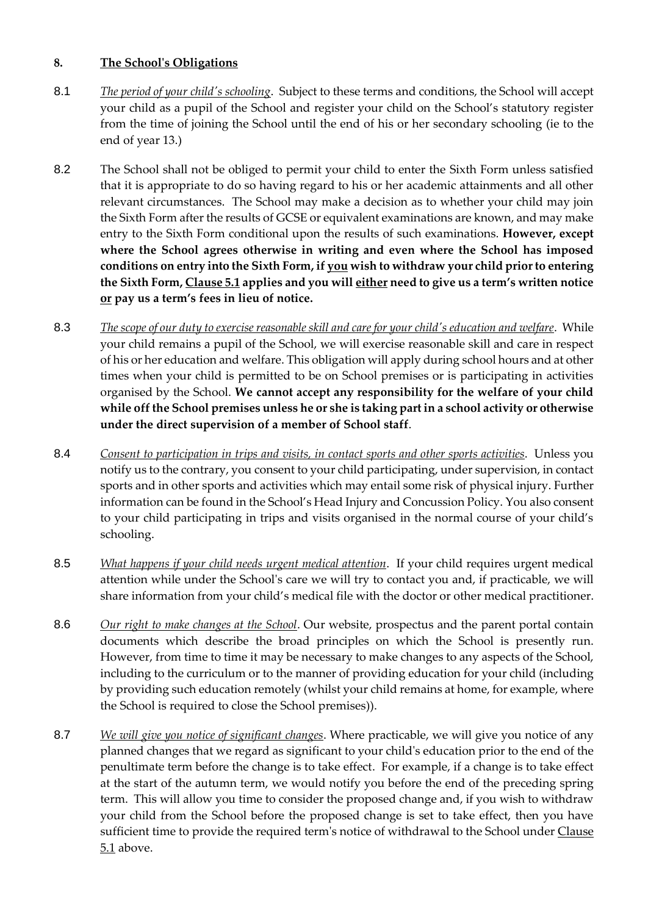### **8. The School's Obligations**

- 8.1 *The period of your child's schooling*. Subject to these terms and conditions, the School will accept your child as a pupil of the School and register your child on the School's statutory register from the time of joining the School until the end of his or her secondary schooling (ie to the end of year 13.)
- 8.2 The School shall not be obliged to permit your child to enter the Sixth Form unless satisfied that it is appropriate to do so having regard to his or her academic attainments and all other relevant circumstances. The School may make a decision as to whether your child may join the Sixth Form after the results of GCSE or equivalent examinations are known, and may make entry to the Sixth Form conditional upon the results of such examinations. **However, except where the School agrees otherwise in writing and even where the School has imposed conditions on entry into the Sixth Form, if you wish to withdraw your child prior to entering the Sixth Form, Clause 5.1 applies and you will either need to give us a term's written notice or pay us a term's fees in lieu of notice.**
- 8.3 *The scope of our duty to exercise reasonable skill and care for your child's education and welfare*. While your child remains a pupil of the School, we will exercise reasonable skill and care in respect of his or her education and welfare. This obligation will apply during school hours and at other times when your child is permitted to be on School premises or is participating in activities organised by the School. **We cannot accept any responsibility for the welfare of your child while off the School premises unless he or she is taking part in a school activity or otherwise under the direct supervision of a member of School staff**.
- 8.4 *Consent to participation in trips and visits, in contact sports and other sports activities*. Unless you notify us to the contrary, you consent to your child participating, under supervision, in contact sports and in other sports and activities which may entail some risk of physical injury. Further information can be found in the School's Head Injury and Concussion Policy. You also consent to your child participating in trips and visits organised in the normal course of your child's schooling.
- 8.5 *What happens if your child needs urgent medical attention*. If your child requires urgent medical attention while under the School's care we will try to contact you and, if practicable, we will share information from your child's medical file with the doctor or other medical practitioner.
- 8.6 *Our right to make changes at the School*. Our website, prospectus and the parent portal contain documents which describe the broad principles on which the School is presently run. However, from time to time it may be necessary to make changes to any aspects of the School, including to the curriculum or to the manner of providing education for your child (including by providing such education remotely (whilst your child remains at home, for example, where the School is required to close the School premises)).
- 8.7 *We will give you notice of significant changes*. Where practicable, we will give you notice of any planned changes that we regard as significant to your child's education prior to the end of the penultimate term before the change is to take effect. For example, if a change is to take effect at the start of the autumn term, we would notify you before the end of the preceding spring term. This will allow you time to consider the proposed change and, if you wish to withdraw your child from the School before the proposed change is set to take effect, then you have sufficient time to provide the required term's notice of withdrawal to the School under Clause 5.1 above.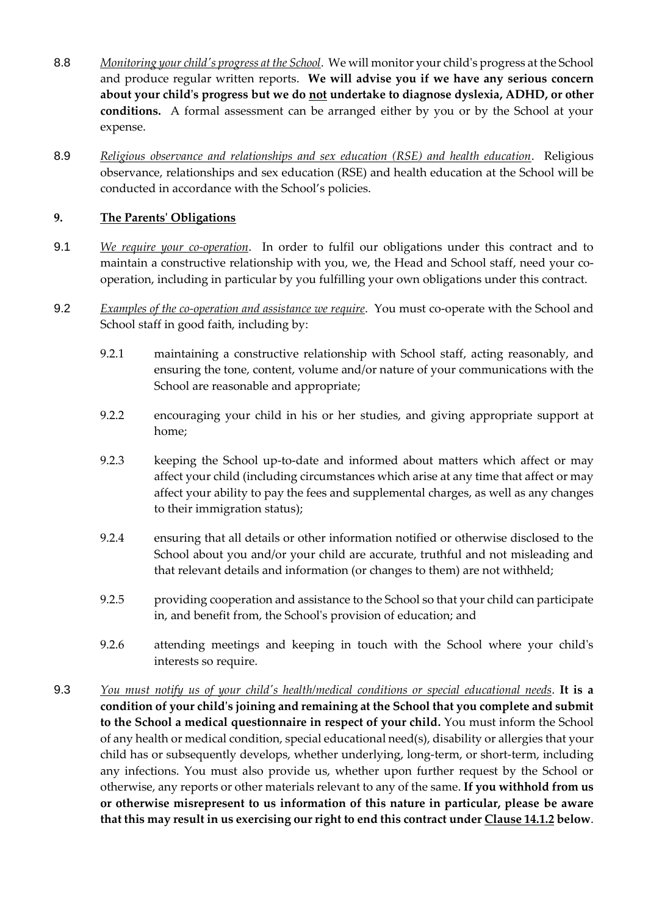- 8.8 *Monitoring your child's progress at the School*. We will monitor your child's progress at the School and produce regular written reports. **We will advise you if we have any serious concern about your child's progress but we do not undertake to diagnose dyslexia, ADHD, or other conditions.** A formal assessment can be arranged either by you or by the School at your expense.
- 8.9 *Religious observance and relationships and sex education (RSE) and health education*. Religious observance, relationships and sex education (RSE) and health education at the School will be conducted in accordance with the School's policies.

## **9. The Parents' Obligations**

- 9.1 *We require your co-operation*. In order to fulfil our obligations under this contract and to maintain a constructive relationship with you, we, the Head and School staff, need your cooperation, including in particular by you fulfilling your own obligations under this contract.
- 9.2 *Examples of the co-operation and assistance we require*. You must co-operate with the School and School staff in good faith, including by:
	- 9.2.1 maintaining a constructive relationship with School staff, acting reasonably, and ensuring the tone, content, volume and/or nature of your communications with the School are reasonable and appropriate;
	- 9.2.2 encouraging your child in his or her studies, and giving appropriate support at home;
	- 9.2.3 keeping the School up-to-date and informed about matters which affect or may affect your child (including circumstances which arise at any time that affect or may affect your ability to pay the fees and supplemental charges, as well as any changes to their immigration status);
	- 9.2.4 ensuring that all details or other information notified or otherwise disclosed to the School about you and/or your child are accurate, truthful and not misleading and that relevant details and information (or changes to them) are not withheld;
	- 9.2.5 providing cooperation and assistance to the School so that your child can participate in, and benefit from, the School's provision of education; and
	- 9.2.6 attending meetings and keeping in touch with the School where your child's interests so require.
- 9.3 *You must notify us of your child's health/medical conditions or special educational needs*. **It is a condition of your child's joining and remaining at the School that you complete and submit to the School a medical questionnaire in respect of your child.** You must inform the School of any health or medical condition, special educational need(s), disability or allergies that your child has or subsequently develops, whether underlying, long-term, or short-term, including any infections. You must also provide us, whether upon further request by the School or otherwise, any reports or other materials relevant to any of the same. **If you withhold from us or otherwise misrepresent to us information of this nature in particular, please be aware that this may result in us exercising our right to end this contract under Clause 14.1.2 below**.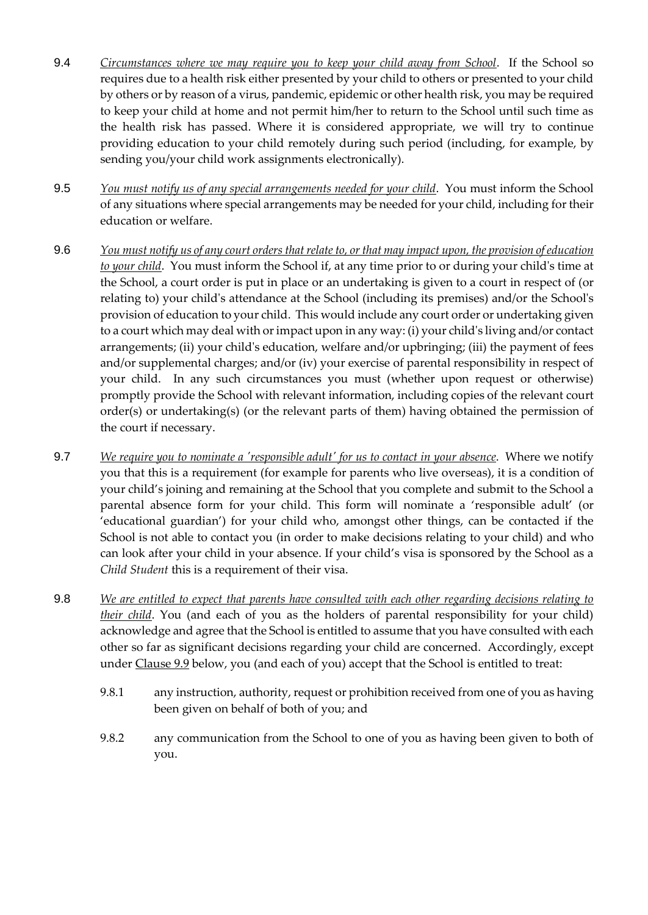- 9.4 *Circumstances where we may require you to keep your child away from School*. If the School so requires due to a health risk either presented by your child to others or presented to your child by others or by reason of a virus, pandemic, epidemic or other health risk, you may be required to keep your child at home and not permit him/her to return to the School until such time as the health risk has passed. Where it is considered appropriate, we will try to continue providing education to your child remotely during such period (including, for example, by sending you/your child work assignments electronically).
- 9.5 *You must notify us of any special arrangements needed for your child*. You must inform the School of any situations where special arrangements may be needed for your child, including for their education or welfare.
- 9.6 *You must notify us of any court orders that relate to, or that may impact upon, the provision of education to your child*. You must inform the School if, at any time prior to or during your child's time at the School, a court order is put in place or an undertaking is given to a court in respect of (or relating to) your child's attendance at the School (including its premises) and/or the School's provision of education to your child. This would include any court order or undertaking given to a court which may deal with or impact upon in any way: (i) your child's living and/or contact arrangements; (ii) your child's education, welfare and/or upbringing; (iii) the payment of fees and/or supplemental charges; and/or (iv) your exercise of parental responsibility in respect of your child. In any such circumstances you must (whether upon request or otherwise) promptly provide the School with relevant information, including copies of the relevant court order(s) or undertaking(s) (or the relevant parts of them) having obtained the permission of the court if necessary.
- 9.7 *We require you to nominate a 'responsible adult' for us to contact in your absence*. Where we notify you that this is a requirement (for example for parents who live overseas), it is a condition of your child's joining and remaining at the School that you complete and submit to the School a parental absence form for your child. This form will nominate a 'responsible adult' (or 'educational guardian') for your child who, amongst other things, can be contacted if the School is not able to contact you (in order to make decisions relating to your child) and who can look after your child in your absence. If your child's visa is sponsored by the School as a *Child Student* this is a requirement of their visa.
- 9.8 *We are entitled to expect that parents have consulted with each other regarding decisions relating to their child*. You (and each of you as the holders of parental responsibility for your child) acknowledge and agree that the School is entitled to assume that you have consulted with each other so far as significant decisions regarding your child are concerned. Accordingly, except under Clause 9.9 below, you (and each of you) accept that the School is entitled to treat:
	- 9.8.1 any instruction, authority, request or prohibition received from one of you as having been given on behalf of both of you; and
	- 9.8.2 any communication from the School to one of you as having been given to both of you.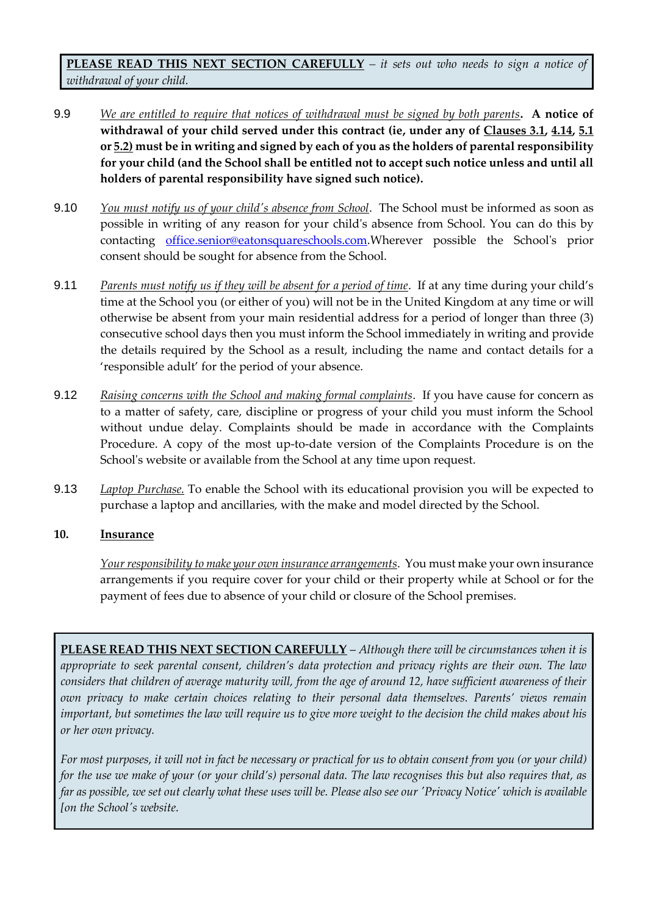**PLEASE READ THIS NEXT SECTION CAREFULLY** *– it sets out who needs to sign a notice of withdrawal of your child.*

- 9.9 *We are entitled to require that notices of withdrawal must be signed by both parents***. A notice of withdrawal of your child served under this contract (ie, under any of Clauses 3.1, 4.14, 5.1 or 5.2) must be in writing and signed by each of you as the holders of parental responsibility for your child (and the School shall be entitled not to accept such notice unless and until all holders of parental responsibility have signed such notice).**
- 9.10 *You must notify us of your child's absence from School*. The School must be informed as soon as possible in writing of any reason for your child's absence from School. You can do this by contacting [office.senior@eatonsquareschools.com.](mailto:office.senior@eatonsquareschools.com)Wherever possible the School's prior consent should be sought for absence from the School.
- 9.11 *Parents must notify us if they will be absent for a period of time*. If at any time during your child's time at the School you (or either of you) will not be in the United Kingdom at any time or will otherwise be absent from your main residential address for a period of longer than three (3) consecutive school days then you must inform the School immediately in writing and provide the details required by the School as a result, including the name and contact details for a 'responsible adult' for the period of your absence.
- 9.12 *Raising concerns with the School and making formal complaints*. If you have cause for concern as to a matter of safety, care, discipline or progress of your child you must inform the School without undue delay. Complaints should be made in accordance with the Complaints Procedure. A copy of the most up-to-date version of the Complaints Procedure is on the School's website or available from the School at any time upon request.
- 9.13 *Laptop Purchase.* To enable the School with its educational provision you will be expected to purchase a laptop and ancillaries, with the make and model directed by the School.

### **10. Insurance**

*Your responsibility to make your own insurance arrangements*. You must make your own insurance arrangements if you require cover for your child or their property while at School or for the payment of fees due to absence of your child or closure of the School premises.

**PLEASE READ THIS NEXT SECTION CAREFULLY** – *Although there will be circumstances when it is appropriate to seek parental consent, children's data protection and privacy rights are their own. The law considers that children of average maturity will, from the age of around 12, have sufficient awareness of their own privacy to make certain choices relating to their personal data themselves. Parents' views remain important, but sometimes the law will require us to give more weight to the decision the child makes about his or her own privacy.*

*For most purposes, it will not in fact be necessary or practical for us to obtain consent from you (or your child) for the use we make of your (or your child's) personal data. The law recognises this but also requires that, as far as possible, we set out clearly what these uses will be. Please also see our 'Privacy Notice' which is available [on the School's website.*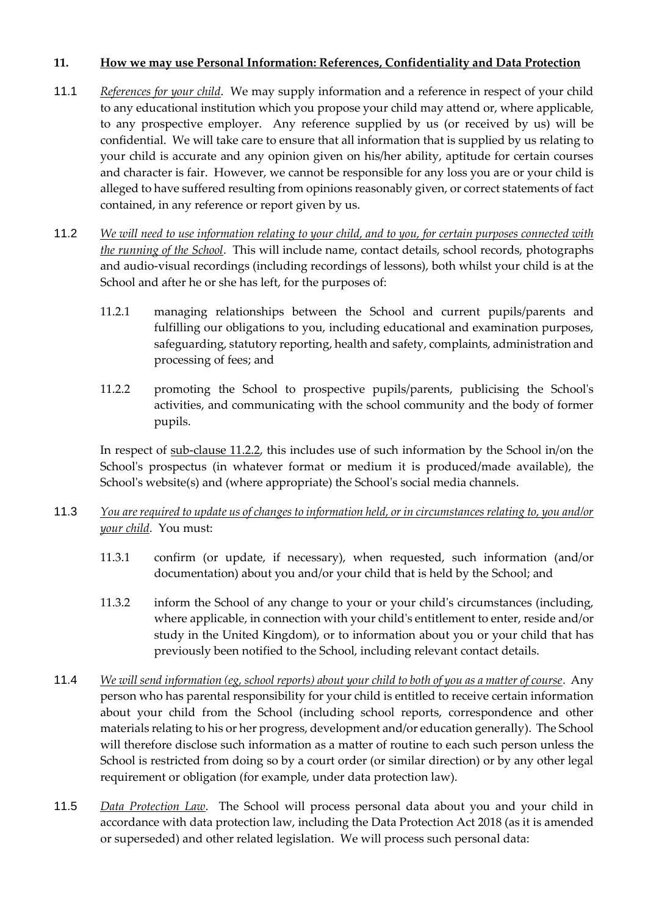#### **11. How we may use Personal Information: References, Confidentiality and Data Protection**

- 11.1 *References for your child*. We may supply information and a reference in respect of your child to any educational institution which you propose your child may attend or, where applicable, to any prospective employer. Any reference supplied by us (or received by us) will be confidential. We will take care to ensure that all information that is supplied by us relating to your child is accurate and any opinion given on his/her ability, aptitude for certain courses and character is fair. However, we cannot be responsible for any loss you are or your child is alleged to have suffered resulting from opinions reasonably given, or correct statements of fact contained, in any reference or report given by us.
- 11.2 *We will need to use information relating to your child, and to you, for certain purposes connected with the running of the School*. This will include name, contact details, school records, photographs and audio-visual recordings (including recordings of lessons), both whilst your child is at the School and after he or she has left, for the purposes of:
	- 11.2.1 managing relationships between the School and current pupils/parents and fulfilling our obligations to you, including educational and examination purposes, safeguarding, statutory reporting, health and safety, complaints, administration and processing of fees; and
	- 11.2.2 promoting the School to prospective pupils/parents, publicising the School's activities, and communicating with the school community and the body of former pupils.

In respect of sub-clause 11.2.2, this includes use of such information by the School in/on the School's prospectus (in whatever format or medium it is produced/made available), the School's website(s) and (where appropriate) the School's social media channels.

- 11.3 *You are required to update us of changes to information held, or in circumstances relating to, you and/or your child*. You must:
	- 11.3.1 confirm (or update, if necessary), when requested, such information (and/or documentation) about you and/or your child that is held by the School; and
	- 11.3.2 inform the School of any change to your or your child's circumstances (including, where applicable, in connection with your child's entitlement to enter, reside and/or study in the United Kingdom), or to information about you or your child that has previously been notified to the School, including relevant contact details.
- 11.4 *We will send information (eg, school reports) about your child to both of you as a matter of course*. Any person who has parental responsibility for your child is entitled to receive certain information about your child from the School (including school reports, correspondence and other materials relating to his or her progress, development and/or education generally). The School will therefore disclose such information as a matter of routine to each such person unless the School is restricted from doing so by a court order (or similar direction) or by any other legal requirement or obligation (for example, under data protection law).
- 11.5 *Data Protection Law*. The School will process personal data about you and your child in accordance with data protection law, including the Data Protection Act 2018 (as it is amended or superseded) and other related legislation. We will process such personal data: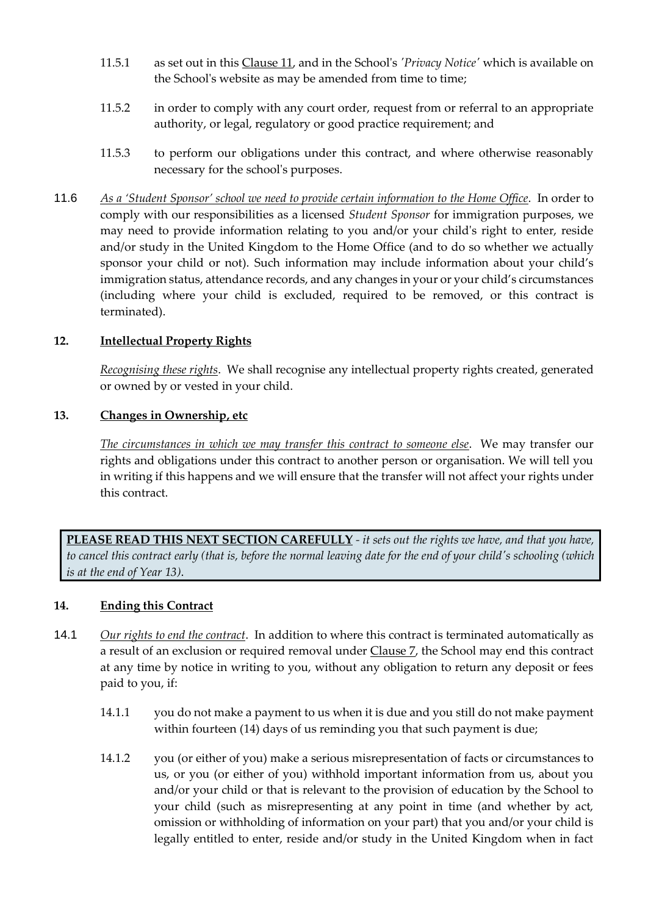- 11.5.1 as set out in this Clause 11, and in the School's *'Privacy Notice'* which is available on the School's website as may be amended from time to time;
- 11.5.2 in order to comply with any court order, request from or referral to an appropriate authority, or legal, regulatory or good practice requirement; and
- 11.5.3 to perform our obligations under this contract, and where otherwise reasonably necessary for the school's purposes.
- 11.6 *As a 'Student Sponsor' school we need to provide certain information to the Home Office*. In order to comply with our responsibilities as a licensed *Student Sponsor* for immigration purposes, we may need to provide information relating to you and/or your child's right to enter, reside and/or study in the United Kingdom to the Home Office (and to do so whether we actually sponsor your child or not). Such information may include information about your child's immigration status, attendance records, and any changes in your or your child's circumstances (including where your child is excluded, required to be removed, or this contract is terminated).

#### **12. Intellectual Property Rights**

*Recognising these rights*. We shall recognise any intellectual property rights created, generated or owned by or vested in your child.

#### **13. Changes in Ownership, etc**

*The circumstances in which we may transfer this contract to someone else*. We may transfer our rights and obligations under this contract to another person or organisation. We will tell you in writing if this happens and we will ensure that the transfer will not affect your rights under this contract.

**PLEASE READ THIS NEXT SECTION CAREFULLY** *- it sets out the rights we have, and that you have, to cancel this contract early (that is, before the normal leaving date for the end of your child's schooling (which is at the end of Year 13)*.

#### **14. Ending this Contract**

- 14.1 *Our rights to end the contract*. In addition to where this contract is terminated automatically as a result of an exclusion or required removal under Clause 7, the School may end this contract at any time by notice in writing to you, without any obligation to return any deposit or fees paid to you, if:
	- 14.1.1 you do not make a payment to us when it is due and you still do not make payment within fourteen (14) days of us reminding you that such payment is due;
	- 14.1.2 you (or either of you) make a serious misrepresentation of facts or circumstances to us, or you (or either of you) withhold important information from us, about you and/or your child or that is relevant to the provision of education by the School to your child (such as misrepresenting at any point in time (and whether by act, omission or withholding of information on your part) that you and/or your child is legally entitled to enter, reside and/or study in the United Kingdom when in fact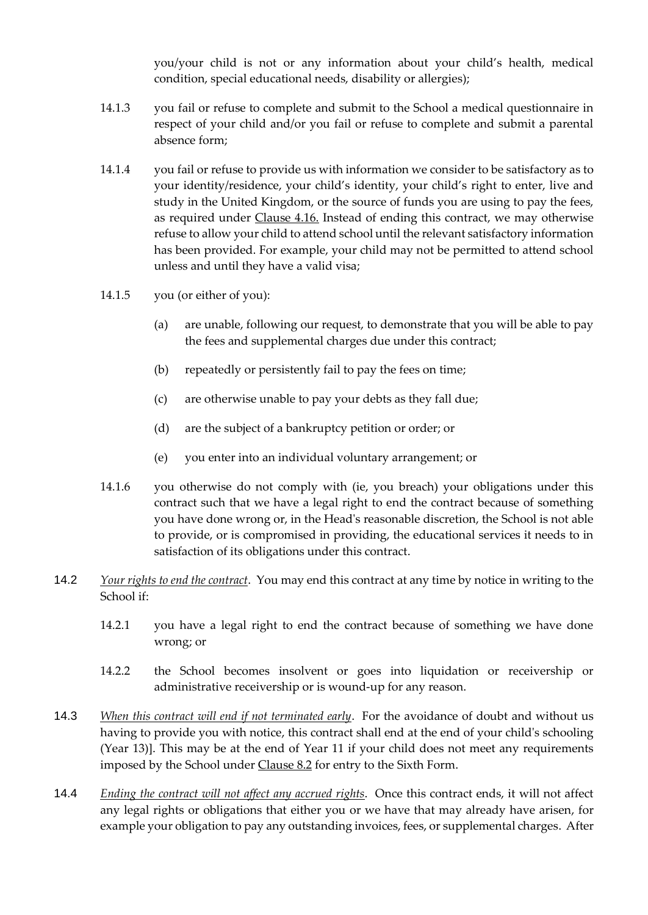you/your child is not or any information about your child's health, medical condition, special educational needs, disability or allergies);

- 14.1.3 you fail or refuse to complete and submit to the School a medical questionnaire in respect of your child and/or you fail or refuse to complete and submit a parental absence form;
- 14.1.4 you fail or refuse to provide us with information we consider to be satisfactory as to your identity/residence, your child's identity, your child's right to enter, live and study in the United Kingdom, or the source of funds you are using to pay the fees, as required under Clause 4.16. Instead of ending this contract, we may otherwise refuse to allow your child to attend school until the relevant satisfactory information has been provided. For example, your child may not be permitted to attend school unless and until they have a valid visa;
- 14.1.5 you (or either of you):
	- (a) are unable, following our request, to demonstrate that you will be able to pay the fees and supplemental charges due under this contract;
	- (b) repeatedly or persistently fail to pay the fees on time;
	- (c) are otherwise unable to pay your debts as they fall due;
	- (d) are the subject of a bankruptcy petition or order; or
	- (e) you enter into an individual voluntary arrangement; or
- 14.1.6 you otherwise do not comply with (ie, you breach) your obligations under this contract such that we have a legal right to end the contract because of something you have done wrong or, in the Head's reasonable discretion, the School is not able to provide, or is compromised in providing, the educational services it needs to in satisfaction of its obligations under this contract.
- 14.2 *Your rights to end the contract*. You may end this contract at any time by notice in writing to the School if:
	- 14.2.1 you have a legal right to end the contract because of something we have done wrong; or
	- 14.2.2 the School becomes insolvent or goes into liquidation or receivership or administrative receivership or is wound-up for any reason.
- 14.3 *When this contract will end if not terminated early*. For the avoidance of doubt and without us having to provide you with notice, this contract shall end at the end of your child's schooling (Year 13)]. This may be at the end of Year 11 if your child does not meet any requirements imposed by the School under Clause 8.2 for entry to the Sixth Form.
- 14.4 *Ending the contract will not affect any accrued rights*. Once this contract ends, it will not affect any legal rights or obligations that either you or we have that may already have arisen, for example your obligation to pay any outstanding invoices, fees, or supplemental charges. After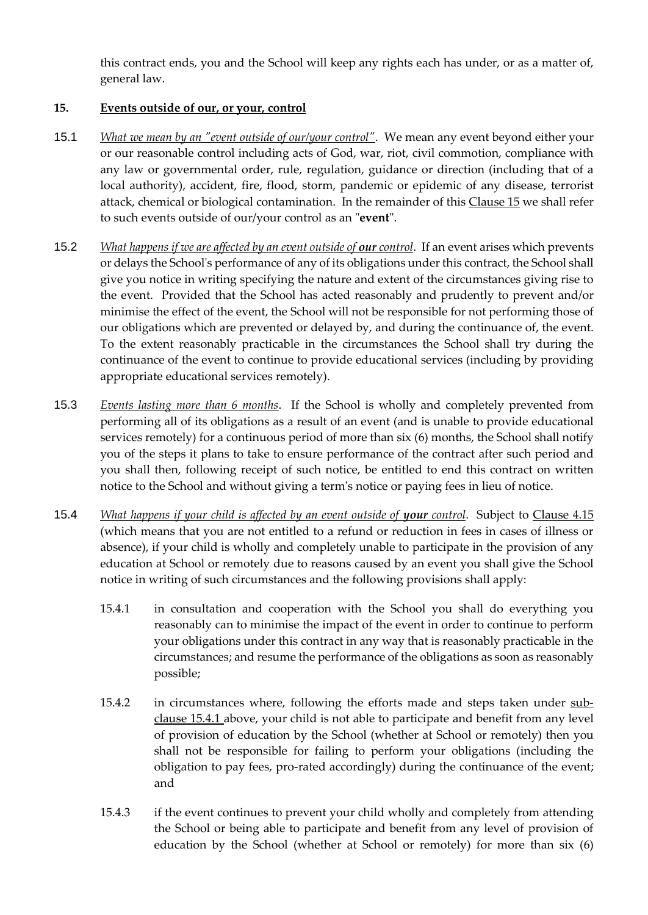this contract ends, you and the School will keep any rights each has under, or as a matter of, general law.

### **15. Events outside of our, or your, control**

- 15.1 *What we mean by an "event outside of our/your control"*. We mean any event beyond either your or our reasonable control including acts of God, war, riot, civil commotion, compliance with any law or governmental order, rule, regulation, guidance or direction (including that of a local authority), accident, fire, flood, storm, pandemic or epidemic of any disease, terrorist attack, chemical or biological contamination. In the remainder of this Clause 15 we shall refer to such events outside of our/your control as an "**event**".
- 15.2 *What happens if we are affected by an event outside of our control.* If an event arises which prevents or delays the School's performance of any of its obligations under this contract, the School shall give you notice in writing specifying the nature and extent of the circumstances giving rise to the event. Provided that the School has acted reasonably and prudently to prevent and/or minimise the effect of the event, the School will not be responsible for not performing those of our obligations which are prevented or delayed by, and during the continuance of, the event. To the extent reasonably practicable in the circumstances the School shall try during the continuance of the event to continue to provide educational services (including by providing appropriate educational services remotely).
- 15.3 *Events lasting more than 6 months*. If the School is wholly and completely prevented from performing all of its obligations as a result of an event (and is unable to provide educational services remotely) for a continuous period of more than six (6) months, the School shall notify you of the steps it plans to take to ensure performance of the contract after such period and you shall then, following receipt of such notice, be entitled to end this contract on written notice to the School and without giving a term's notice or paying fees in lieu of notice.
- 15.4 *What happens if your child is affected by an event outside of your control.* Subject to Clause 4.15 (which means that you are not entitled to a refund or reduction in fees in cases of illness or absence), if your child is wholly and completely unable to participate in the provision of any education at School or remotely due to reasons caused by an event you shall give the School notice in writing of such circumstances and the following provisions shall apply:
	- 15.4.1 in consultation and cooperation with the School you shall do everything you reasonably can to minimise the impact of the event in order to continue to perform your obligations under this contract in any way that is reasonably practicable in the circumstances; and resume the performance of the obligations as soon as reasonably possible;
	- 15.4.2 in circumstances where, following the efforts made and steps taken under subclause 15.4.1 above, your child is not able to participate and benefit from any level of provision of education by the School (whether at School or remotely) then you shall not be responsible for failing to perform your obligations (including the obligation to pay fees, pro-rated accordingly) during the continuance of the event; and
	- 15.4.3 if the event continues to prevent your child wholly and completely from attending the School or being able to participate and benefit from any level of provision of education by the School (whether at School or remotely) for more than six (6)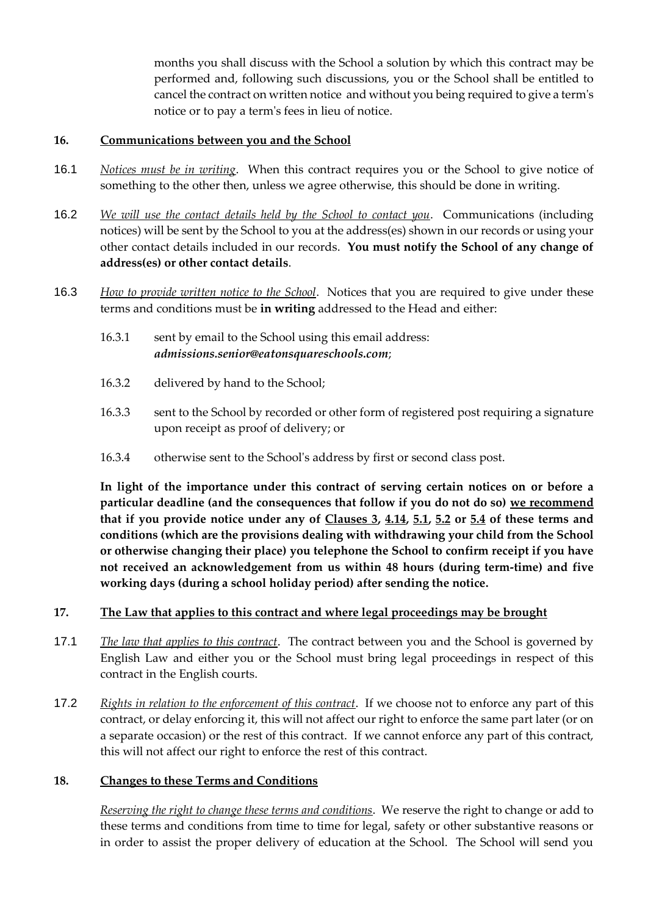months you shall discuss with the School a solution by which this contract may be performed and, following such discussions, you or the School shall be entitled to cancel the contract on written notice and without you being required to give a term's notice or to pay a term's fees in lieu of notice.

#### **16. Communications between you and the School**

- 16.1 *Notices must be in writing*. When this contract requires you or the School to give notice of something to the other then, unless we agree otherwise, this should be done in writing.
- 16.2 *We will use the contact details held by the School to contact you*. Communications (including notices) will be sent by the School to you at the address(es) shown in our records or using your other contact details included in our records. **You must notify the School of any change of address(es) or other contact details**.
- 16.3 *How to provide written notice to the School*. Notices that you are required to give under these terms and conditions must be **in writing** addressed to the Head and either:
	- 16.3.1 sent by email to the School using this email address: *admissions.senior@eatonsquareschools.com*;
	- 16.3.2 delivered by hand to the School;
	- 16.3.3 sent to the School by recorded or other form of registered post requiring a signature upon receipt as proof of delivery; or
	- 16.3.4 otherwise sent to the School's address by first or second class post.

**In light of the importance under this contract of serving certain notices on or before a particular deadline (and the consequences that follow if you do not do so) we recommend that if you provide notice under any of Clauses 3, 4.14, 5.1, 5.2 or 5.4 of these terms and conditions (which are the provisions dealing with withdrawing your child from the School or otherwise changing their place) you telephone the School to confirm receipt if you have not received an acknowledgement from us within 48 hours (during term-time) and five working days (during a school holiday period) after sending the notice.**

#### **17. The Law that applies to this contract and where legal proceedings may be brought**

- 17.1 *The law that applies to this contract*. The contract between you and the School is governed by English Law and either you or the School must bring legal proceedings in respect of this contract in the English courts.
- 17.2 *Rights in relation to the enforcement of this contract*. If we choose not to enforce any part of this contract, or delay enforcing it, this will not affect our right to enforce the same part later (or on a separate occasion) or the rest of this contract. If we cannot enforce any part of this contract, this will not affect our right to enforce the rest of this contract.

### **18. Changes to these Terms and Conditions**

*Reserving the right to change these terms and conditions*. We reserve the right to change or add to these terms and conditions from time to time for legal, safety or other substantive reasons or in order to assist the proper delivery of education at the School. The School will send you